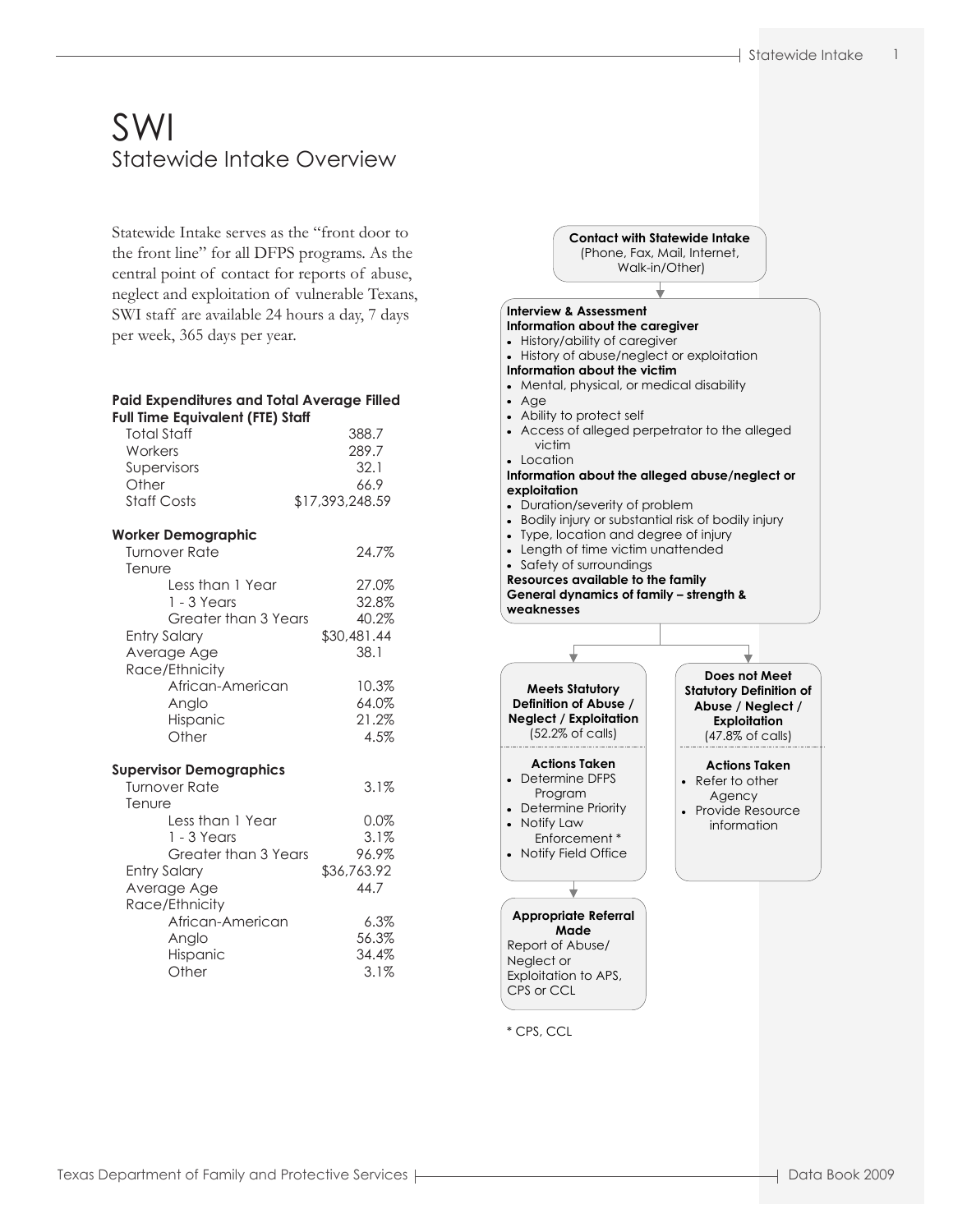# SWI Statewide Intake Overview

Statewide Intake serves as the "front door to the front line" for all DFPS programs. As the central point of contact for reports of abuse, neglect and exploitation of vulnerable Texans, SWI staff are available 24 hours a day, 7 days per week, 365 days per year.

| Paid Expenditures and Total Average Filled<br><b>Full Time Equivalent (FTE) Staff</b> |                 |
|---------------------------------------------------------------------------------------|-----------------|
| <b>Total Staff</b>                                                                    | 388.7           |
| Workers                                                                               | 289.7           |
| Supervisors                                                                           | 32.1            |
| Other                                                                                 | 66.9            |
| <b>Staff Costs</b>                                                                    | \$17,393,248.59 |
| <b>Worker Demographic</b>                                                             |                 |
| <b>Turnover Rate</b><br>Tenure                                                        | 24.7%           |
| Less than 1 Year                                                                      | 27.0%           |
| $1 - 3$ Years                                                                         | 32.8%           |
| Greater than 3 Years                                                                  | 40.2%           |
| <b>Entry Salary</b>                                                                   | \$30,481.44     |
| Average Age<br>Race/Ethnicity                                                         | 38.1            |
| African-American                                                                      | 10.3%           |
| Anglo                                                                                 | 64.0%           |
| Hispanic                                                                              | 21.2%           |
| Other                                                                                 | 4.5%            |
| <b>Supervisor Demographics</b>                                                        |                 |
| <b>Turnover Rate</b>                                                                  | $3.1\%$         |
| Tenure<br>Less than 1 Year                                                            | 0.0%            |
| $1 - 3$ Years                                                                         | 3.1%            |
| Greater than 3 Years                                                                  | 96.9%           |
| <b>Entry Salary</b>                                                                   | \$36,763.92     |
| Average Age                                                                           | 44.7            |
| Race/Ethnicity                                                                        |                 |
| African-American                                                                      | $6.3\%$         |
| Anglo                                                                                 | 56.3%           |
| Hispanic                                                                              | 34.4%           |
| Other                                                                                 | 3.1%            |



Texas Department of Family and Protective Services | The Communication Control and Apple 2009 Control at a Book 2009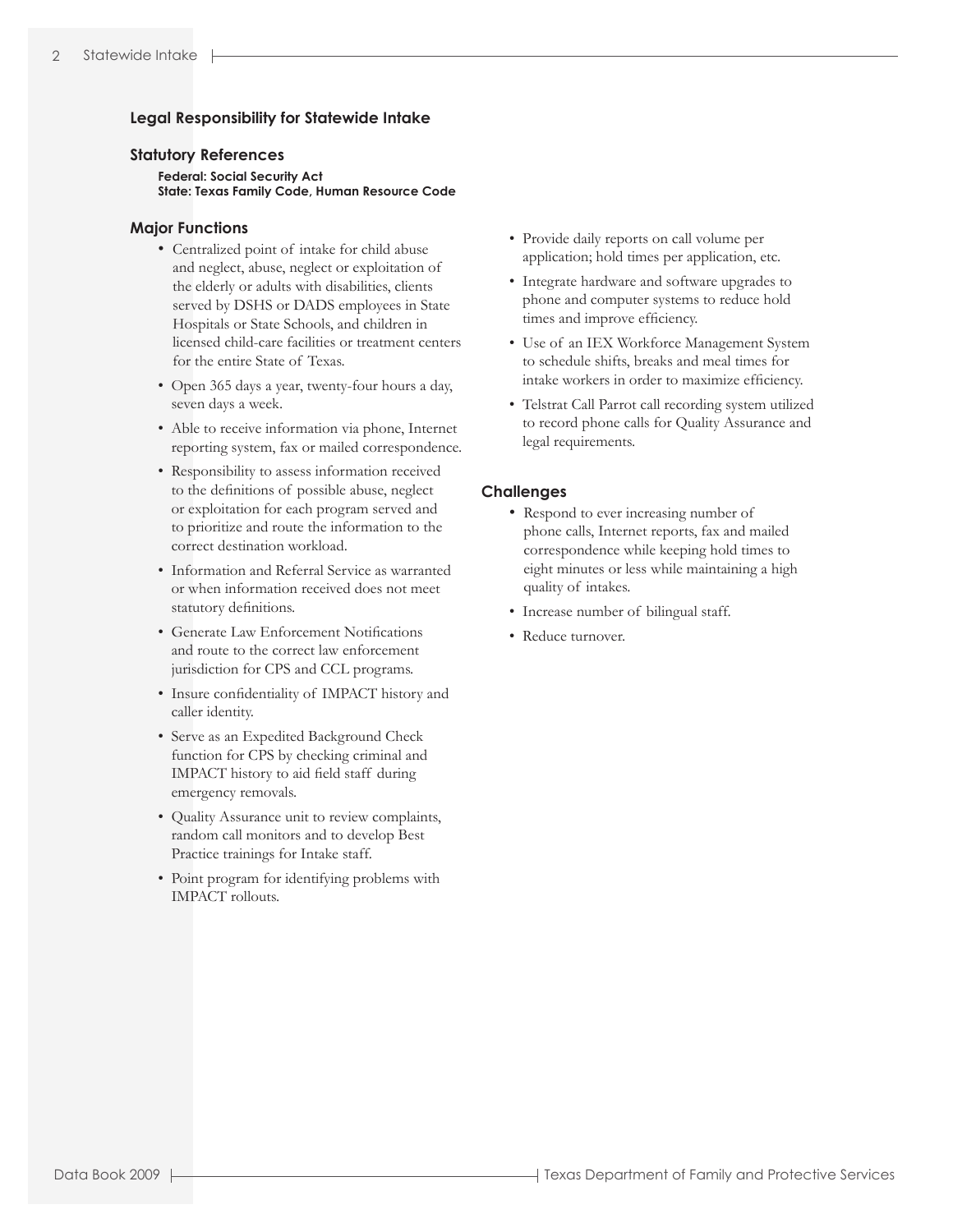# **Legal Responsibility for Statewide Intake**

#### **Statutory References**

 **Federal: Social Security Act State: Texas Family Code, Human Resource Code**

### **Major Functions**

- Centralized point of intake for child abuse and neglect, abuse, neglect or exploitation of the elderly or adults with disabilities, clients served by DSHS or DADS employees in State Hospitals or State Schools, and children in licensed child-care facilities or treatment centers for the entire State of Texas.
- Open 365 days a year, twenty-four hours a day, seven days a week.
- Able to receive information via phone, Internet reporting system, fax or mailed correspondence.
- Responsibility to assess information received to the definitions of possible abuse, neglect or exploitation for each program served and to prioritize and route the information to the correct destination workload.
- Information and Referral Service as warranted or when information received does not meet statutory definitions.
- Generate Law Enforcement Notifications and route to the correct law enforcement jurisdiction for CPS and CCL programs.
- Insure confidentiality of IMPACT history and caller identity.
- Serve as an Expedited Background Check function for CPS by checking criminal and IMPACT history to aid field staff during emergency removals.
- Quality Assurance unit to review complaints, random call monitors and to develop Best Practice trainings for Intake staff.
- Point program for identifying problems with IMPACT rollouts.
- Provide daily reports on call volume per application; hold times per application, etc.
- Integrate hardware and software upgrades to phone and computer systems to reduce hold times and improve efficiency.
- Use of an IEX Workforce Management System to schedule shifts, breaks and meal times for intake workers in order to maximize efficiency.
- Telstrat Call Parrot call recording system utilized to record phone calls for Quality Assurance and legal requirements.

## **Challenges**

- Respond to ever increasing number of phone calls, Internet reports, fax and mailed correspondence while keeping hold times to eight minutes or less while maintaining a high quality of intakes.
- Increase number of bilingual staff.
- Reduce turnover.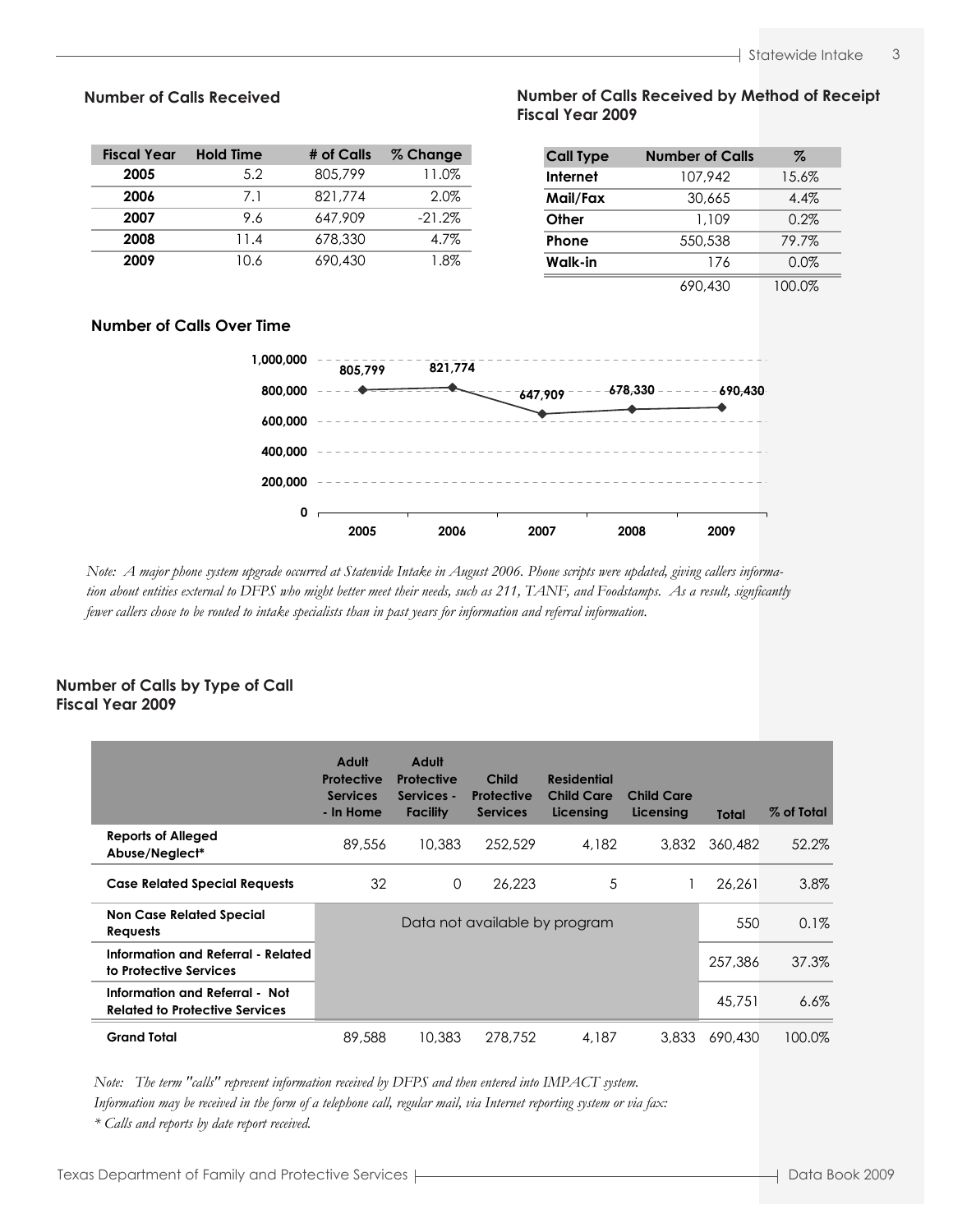| <b>Fiscal Year</b> | <b>Hold Time</b> | # of Calls | % Change |
|--------------------|------------------|------------|----------|
| 2005               | 5.2              | 805,799    | 11.0%    |
| 2006               | 7.1              | 821,774    | 2.0%     |
| 2007               | 9.6              | 647.909    | $-21.2%$ |
| 2008               | 11.4             | 678,330    | 4.7%     |
| 2009               | 10.6             | 690,430    | 1.8%     |

# **Number of Calls Received by Method of Receipt Number of Calls Received Number of Calls Received by Method of Receipt Fiscal Year 2009 Fiscal Year 2009**

| <b>Call Type</b> | <b>Number of Calls</b> | Z       |
|------------------|------------------------|---------|
| <b>Internet</b>  | 107.942                | 15.6%   |
| Mail/Fax         | 30.665                 | $4.4\%$ |
| Other            | 1,109                  | 0.2%    |
| Phone            | 550,538                | 79.7%   |
| Walk-in          | 176                    | 0.0%    |
|                  | ^^^<br>$\sqrt{\wedge}$ | 1 ററ റത |

# 690,430 100.0%

# **Number of Calls Over Time**



fewer callers chose to be routed to intake specialists than in past years for information and referral information. Note: A major phone system upgrade occurred at Statewide Intake in August 2006. Phone scripts were updated, giving callers informa*tion about entities external to DFPS who might better meet their needs, such as 211, TANF, and Foodstamps. As a result, signficantly*

### **Number of Calls by Type of Call Number of Calls by Type of Call Fiscal Year 2009 Fiscal Year 2009**

|                                                                         | Adult<br><b>Protective</b><br><b>Services</b><br>- In Home | Adult<br>Protective<br>Services -<br><b>Facility</b> | Child<br>Protective<br><b>Services</b> | <b>Residential</b><br><b>Child Care</b><br>Licensing | <b>Child Care</b><br>Licensing | <b>Total</b> | % of Total |
|-------------------------------------------------------------------------|------------------------------------------------------------|------------------------------------------------------|----------------------------------------|------------------------------------------------------|--------------------------------|--------------|------------|
| <b>Reports of Alleged</b><br>Abuse/Neglect*                             | 89,556                                                     | 10,383                                               | 252,529                                | 4,182                                                | 3,832                          | 360,482      | 52.2%      |
| <b>Case Related Special Requests</b>                                    | 32                                                         | $\Omega$                                             | 26,223                                 | 5                                                    |                                | 26.261       | 3.8%       |
| <b>Non Case Related Special</b><br>Requests                             |                                                            |                                                      | Data not available by program          |                                                      |                                | 550          | 0.1%       |
| Information and Referral - Related<br>to Protective Services            |                                                            |                                                      |                                        |                                                      |                                | 257,386      | 37.3%      |
| Information and Referral - Not<br><b>Related to Protective Services</b> |                                                            |                                                      |                                        |                                                      |                                | 45,751       | $6.6\%$    |
| <b>Grand Total</b>                                                      | 89,588                                                     | 10,383                                               | 278,752                                | 4.187                                                | 3,833                          | 690,430      | 100.0%     |

*Note: The term "calls" represent information received by DFPS and then entered into IMPACT system.*

Information may be received in the form of a telephone call, regular mail, via Internet reporting system or via fax:

 $*$  Calls and reports by date report received.